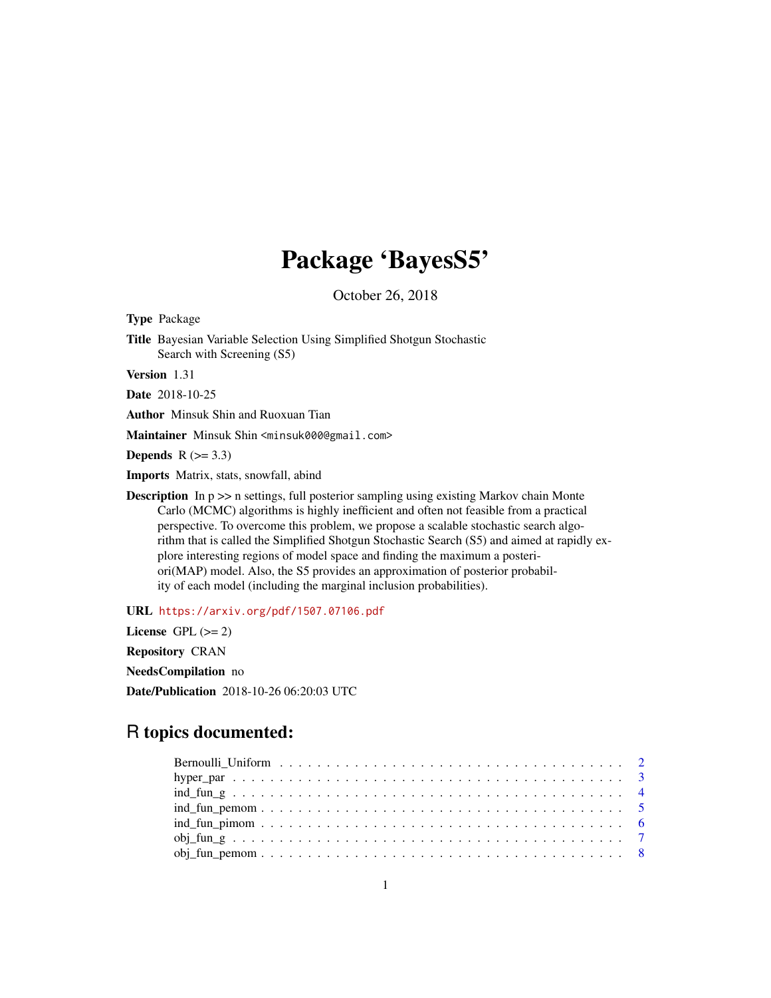# Package 'BayesS5'

October 26, 2018

Type Package

Title Bayesian Variable Selection Using Simplified Shotgun Stochastic Search with Screening (S5)

Version 1.31

Date 2018-10-25

Author Minsuk Shin and Ruoxuan Tian

Maintainer Minsuk Shin <minsuk000@gmail.com>

Depends  $R$  ( $> = 3.3$ )

Imports Matrix, stats, snowfall, abind

**Description** In  $p \gg$  n settings, full posterior sampling using existing Markov chain Monte Carlo (MCMC) algorithms is highly inefficient and often not feasible from a practical perspective. To overcome this problem, we propose a scalable stochastic search algorithm that is called the Simplified Shotgun Stochastic Search (S5) and aimed at rapidly explore interesting regions of model space and finding the maximum a posteriori(MAP) model. Also, the S5 provides an approximation of posterior probability of each model (including the marginal inclusion probabilities).

URL <https://arxiv.org/pdf/1507.07106.pdf>

License GPL  $(>= 2)$ 

Repository CRAN

NeedsCompilation no

Date/Publication 2018-10-26 06:20:03 UTC

# R topics documented: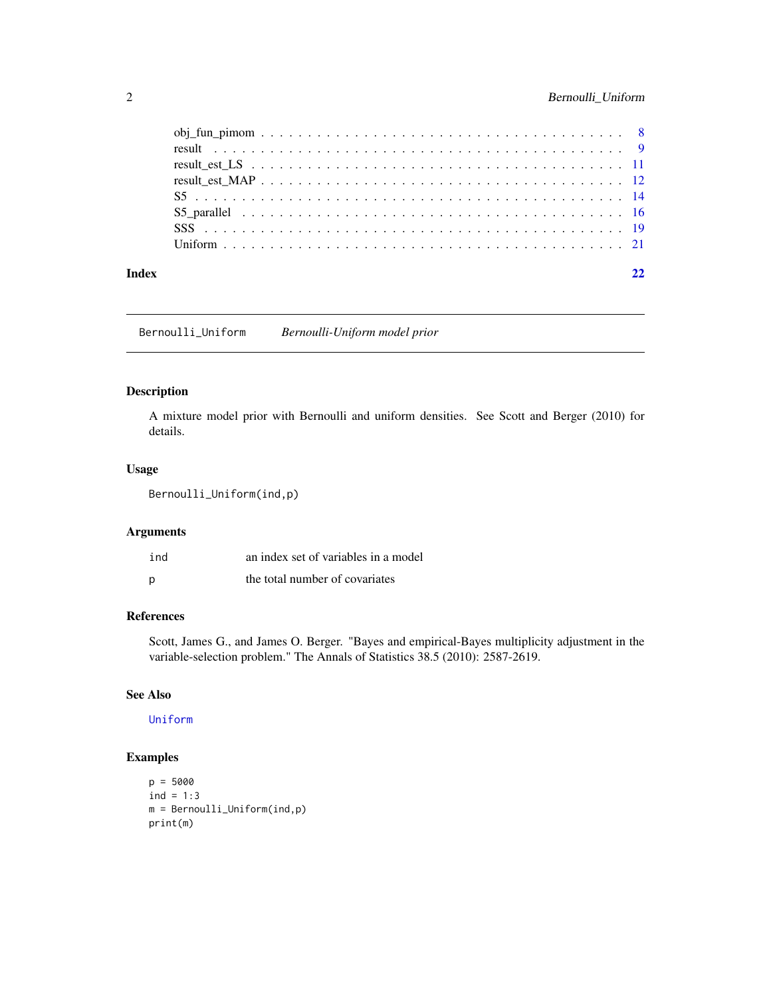<span id="page-1-0"></span>

| Index | 22 |
|-------|----|
|       |    |
|       |    |
|       |    |
|       |    |
|       |    |
|       |    |
|       |    |
|       |    |

Bernoulli\_Uniform *Bernoulli-Uniform model prior*

# Description

A mixture model prior with Bernoulli and uniform densities. See Scott and Berger (2010) for details.

# Usage

```
Bernoulli_Uniform(ind,p)
```
# Arguments

| ind | an index set of variables in a model |
|-----|--------------------------------------|
| p   | the total number of covariates       |

# References

Scott, James G., and James O. Berger. "Bayes and empirical-Bayes multiplicity adjustment in the variable-selection problem." The Annals of Statistics 38.5 (2010): 2587-2619.

# See Also

[Uniform](#page-20-1)

```
p = 5000
ind = 1:3m = Bernoulli_Uniform(ind,p)
print(m)
```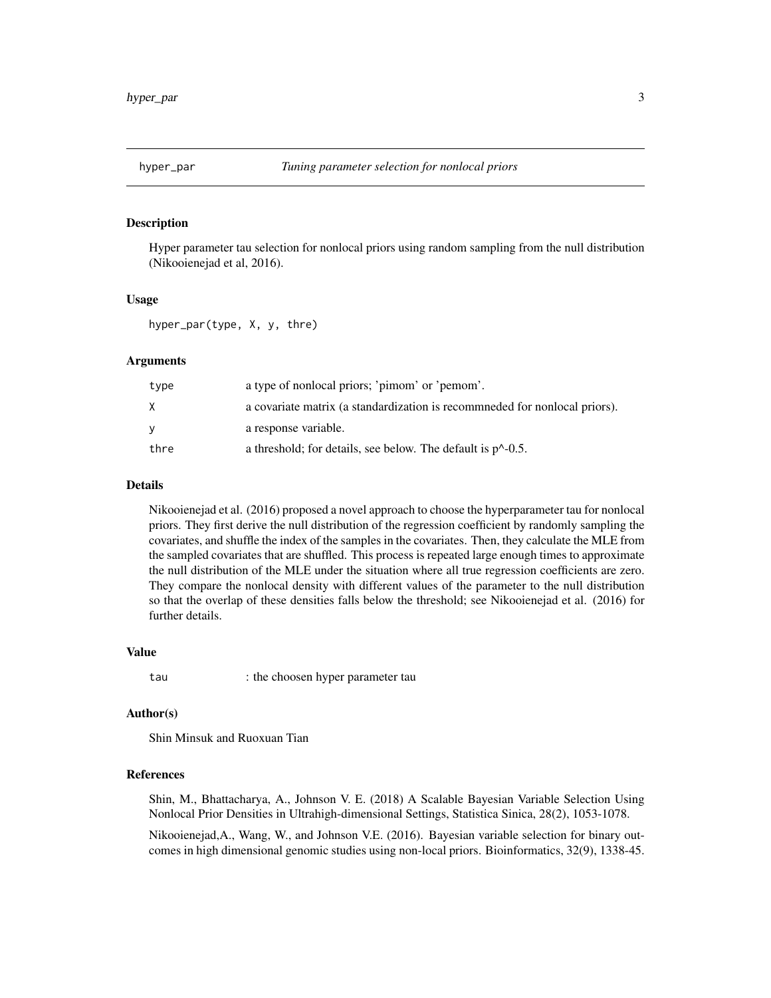<span id="page-2-0"></span>

#### Description

Hyper parameter tau selection for nonlocal priors using random sampling from the null distribution (Nikooienejad et al, 2016).

# Usage

hyper\_par(type, X, y, thre)

# Arguments

| type | a type of nonlocal priors; 'pimom' or 'pemom'.                            |
|------|---------------------------------------------------------------------------|
| X.   | a covariate matrix (a standardization is recommeded for nonlocal priors). |
| v    | a response variable.                                                      |
| thre | a threshold; for details, see below. The default is $p^{\wedge}$ -0.5.    |

#### Details

Nikooienejad et al. (2016) proposed a novel approach to choose the hyperparameter tau for nonlocal priors. They first derive the null distribution of the regression coefficient by randomly sampling the covariates, and shuffle the index of the samples in the covariates. Then, they calculate the MLE from the sampled covariates that are shuffled. This process is repeated large enough times to approximate the null distribution of the MLE under the situation where all true regression coefficients are zero. They compare the nonlocal density with different values of the parameter to the null distribution so that the overlap of these densities falls below the threshold; see Nikooienejad et al. (2016) for further details.

#### Value

tau : the choosen hyper parameter tau

#### Author(s)

Shin Minsuk and Ruoxuan Tian

# References

Shin, M., Bhattacharya, A., Johnson V. E. (2018) A Scalable Bayesian Variable Selection Using Nonlocal Prior Densities in Ultrahigh-dimensional Settings, Statistica Sinica, 28(2), 1053-1078.

Nikooienejad,A., Wang, W., and Johnson V.E. (2016). Bayesian variable selection for binary outcomes in high dimensional genomic studies using non-local priors. Bioinformatics, 32(9), 1338-45.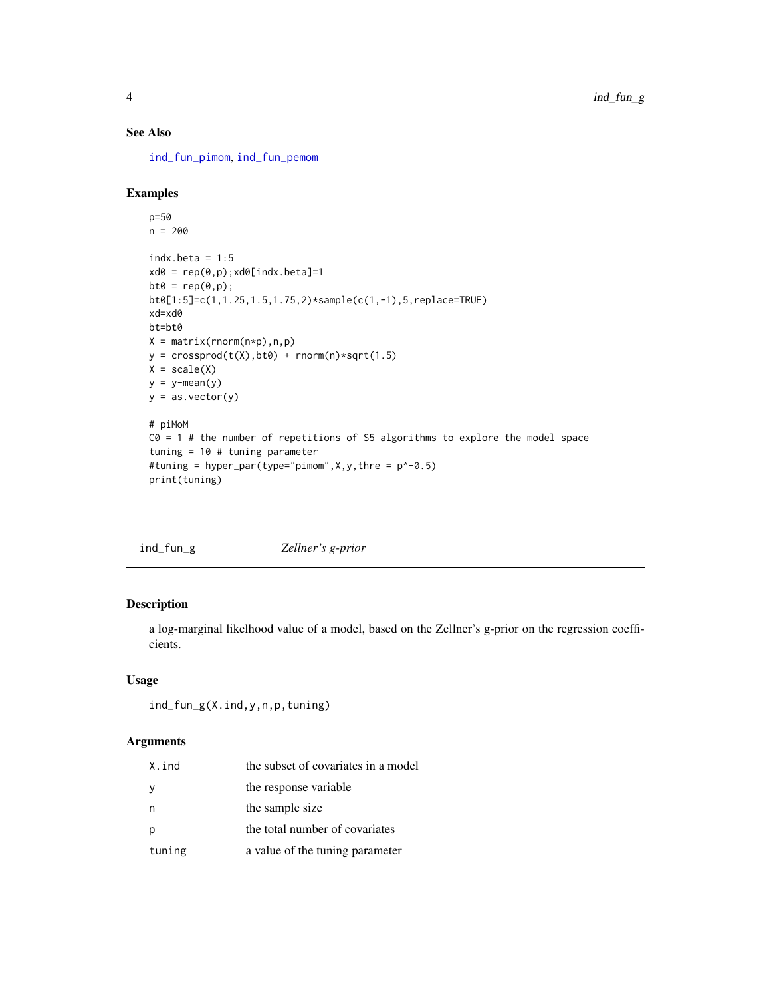# <span id="page-3-0"></span>See Also

[ind\\_fun\\_pimom](#page-5-1), [ind\\_fun\\_pemom](#page-4-1)

# Examples

```
p=50
n = 200
indx.beta = 1:5xd0 = rep(0,p); xd0[indx.beta]=1bt0 = rep(0,p);bt0[1:5]=c(1,1.25,1.5,1.75,2)*sample(c(1,-1),5,replace=TRUE)
xd=xd0
bt=bt0
X = matrix(rnorm(n*p),n,p)y = crossprod(t(X), bt0) + rnorm(n)*sqrt(1.5)X = scale(X)y = y - \text{mean}(y)y = as.vector(y)# piMoM
CO = 1 # the number of repetitions of S5 algorithms to explore the model space
tuning = 10 # tuning parameter
#tuning = hyper_par(type="pimom",X,y,thre = p^-0.5)
```

```
print(tuning)
```
<span id="page-3-1"></span>

| ind_fun_g | Zellner's g-prior |
|-----------|-------------------|
|           |                   |

# Description

a log-marginal likelhood value of a model, based on the Zellner's g-prior on the regression coefficients.

# Usage

```
ind_fun_g(X.ind,y,n,p,tuning)
```
# Arguments

| X.ind  | the subset of covariates in a model |
|--------|-------------------------------------|
| у      | the response variable               |
| n      | the sample size                     |
| р      | the total number of covariates      |
| tuning | a value of the tuning parameter     |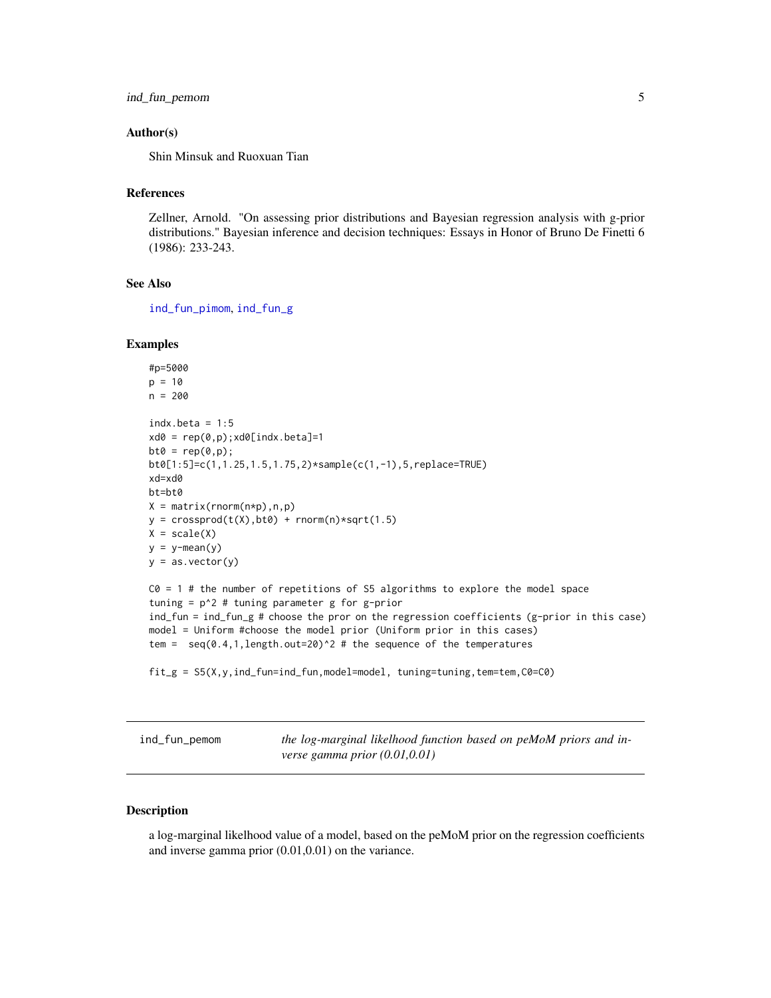```
ind_fun_pemom 5
```
# Author(s)

Shin Minsuk and Ruoxuan Tian

# References

Zellner, Arnold. "On assessing prior distributions and Bayesian regression analysis with g-prior distributions." Bayesian inference and decision techniques: Essays in Honor of Bruno De Finetti 6 (1986): 233-243.

# See Also

[ind\\_fun\\_pimom](#page-5-1), [ind\\_fun\\_g](#page-3-1)

#### Examples

```
#p=5000
p = 10n = 200
indx.beta = 1:5xd0 = rep(0,p); xd0[indx.beta]=1bt0 = rep(0,p);bt0[1:5]=c(1,1.25,1.5,1.75,2)*sample(c(1,-1),5,replace=TRUE)
xd=xd0
bt=bt0
X = matrix(rnorm(n*p),n,p)y = crossprod(t(X), bt0) + rnorm(n)*sqrt(1.5)X = scale(X)y = y-mean(y)y = as.vector(y)C0 = 1 # the number of repetitions of S5 algorithms to explore the model space
tuning = p^2 # tuning parameter g for g-prior
ind_fun = ind_fun_g # choose the pror on the regression coefficients (g-prior in this case)
model = Uniform #choose the model prior (Uniform prior in this cases)
tem = seq(0.4, 1, length.out=20)^2 # the sequence of the temperatures
```

```
fit_g = S5(X,y,ind_fun=ind_fun,model=model, tuning=tuning,tem=tem,C0=C0)
```
<span id="page-4-1"></span>

| ind_fun_pemom |  |  |  |  |
|---------------|--|--|--|--|
|---------------|--|--|--|--|

the log-marginal likelhood function based on peMoM priors and in*verse gamma prior (0.01,0.01)*

#### Description

a log-marginal likelhood value of a model, based on the peMoM prior on the regression coefficients and inverse gamma prior (0.01,0.01) on the variance.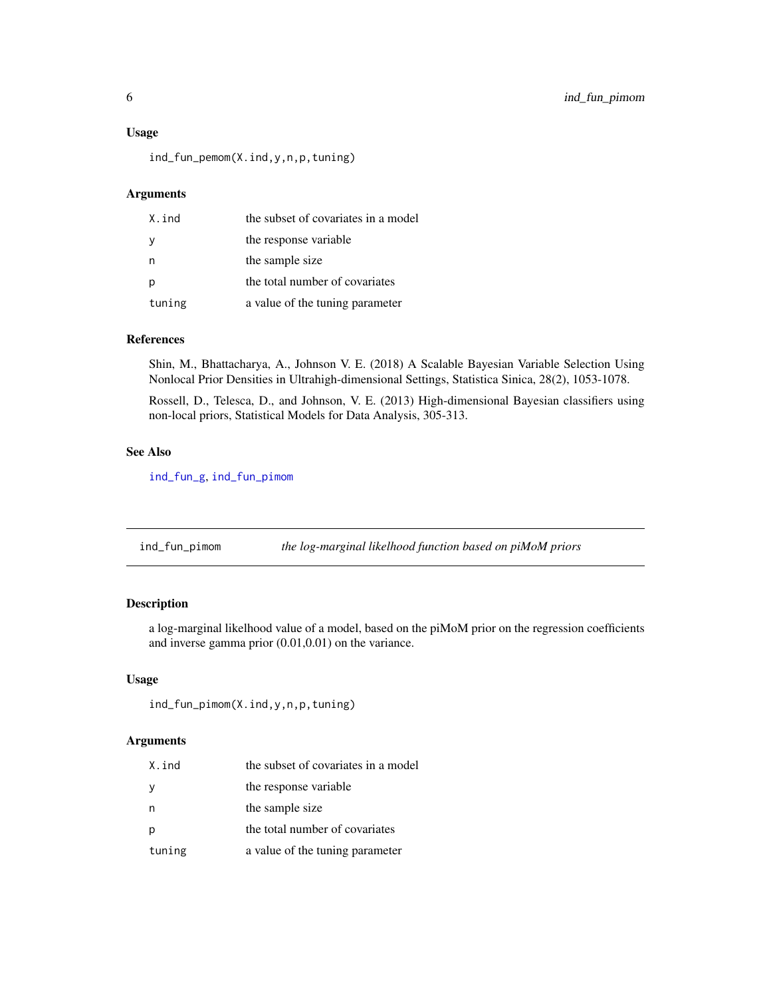#### <span id="page-5-0"></span>Usage

ind\_fun\_pemom(X.ind,y,n,p,tuning)

# Arguments

| X.ind  | the subset of covariates in a model |
|--------|-------------------------------------|
|        | the response variable               |
|        | the sample size                     |
|        | the total number of covariates      |
| tuning | a value of the tuning parameter     |

# References

Shin, M., Bhattacharya, A., Johnson V. E. (2018) A Scalable Bayesian Variable Selection Using Nonlocal Prior Densities in Ultrahigh-dimensional Settings, Statistica Sinica, 28(2), 1053-1078.

Rossell, D., Telesca, D., and Johnson, V. E. (2013) High-dimensional Bayesian classifiers using non-local priors, Statistical Models for Data Analysis, 305-313.

## See Also

[ind\\_fun\\_g](#page-3-1), [ind\\_fun\\_pimom](#page-5-1)

<span id="page-5-1"></span>ind\_fun\_pimom *the log-marginal likelhood function based on piMoM priors*

# Description

a log-marginal likelhood value of a model, based on the piMoM prior on the regression coefficients and inverse gamma prior (0.01,0.01) on the variance.

# Usage

```
ind_fun_pimom(X.ind,y,n,p,tuning)
```
# Arguments

| X.ind  | the subset of covariates in a model |
|--------|-------------------------------------|
| у      | the response variable               |
| n      | the sample size                     |
| p      | the total number of covariates      |
| tuning | a value of the tuning parameter     |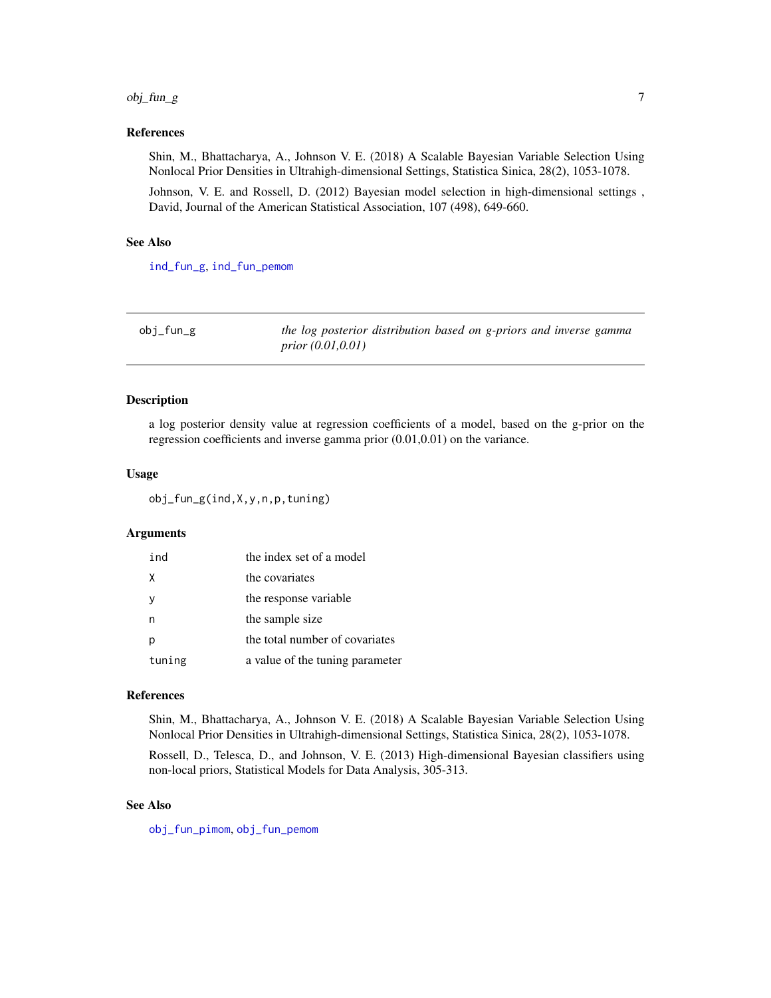#### <span id="page-6-0"></span>obj\_fun\_g 7

#### References

Shin, M., Bhattacharya, A., Johnson V. E. (2018) A Scalable Bayesian Variable Selection Using Nonlocal Prior Densities in Ultrahigh-dimensional Settings, Statistica Sinica, 28(2), 1053-1078.

Johnson, V. E. and Rossell, D. (2012) Bayesian model selection in high-dimensional settings , David, Journal of the American Statistical Association, 107 (498), 649-660.

#### See Also

[ind\\_fun\\_g](#page-3-1), [ind\\_fun\\_pemom](#page-4-1)

<span id="page-6-1"></span>

| obj_fun_g | the log posterior distribution based on g-priors and inverse gamma |
|-----------|--------------------------------------------------------------------|
|           | <i>prior</i> $(0.01, 0.01)$                                        |

# Description

a log posterior density value at regression coefficients of a model, based on the g-prior on the regression coefficients and inverse gamma prior (0.01,0.01) on the variance.

# Usage

obj\_fun\_g(ind,X,y,n,p,tuning)

# Arguments

| ind    | the index set of a model        |
|--------|---------------------------------|
| X      | the covariates                  |
|        | the response variable           |
|        | the sample size                 |
|        | the total number of covariates  |
| tuning | a value of the tuning parameter |

# References

Shin, M., Bhattacharya, A., Johnson V. E. (2018) A Scalable Bayesian Variable Selection Using Nonlocal Prior Densities in Ultrahigh-dimensional Settings, Statistica Sinica, 28(2), 1053-1078.

Rossell, D., Telesca, D., and Johnson, V. E. (2013) High-dimensional Bayesian classifiers using non-local priors, Statistical Models for Data Analysis, 305-313.

#### See Also

[obj\\_fun\\_pimom](#page-7-1), [obj\\_fun\\_pemom](#page-7-2)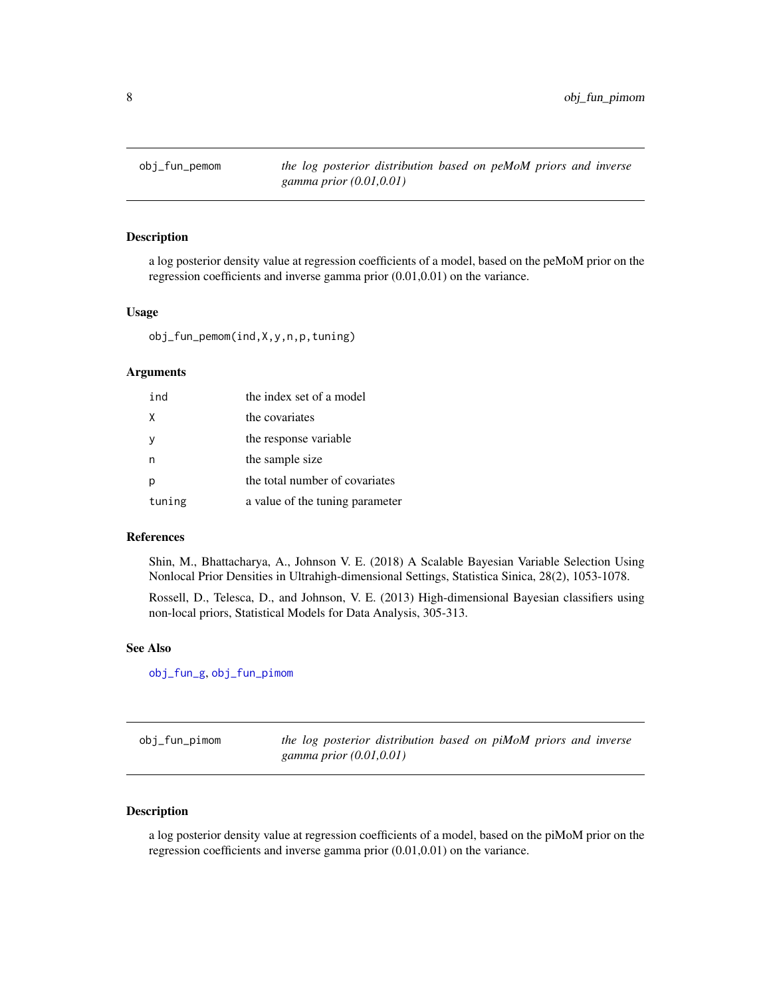<span id="page-7-2"></span><span id="page-7-0"></span>

# Description

a log posterior density value at regression coefficients of a model, based on the peMoM prior on the regression coefficients and inverse gamma prior (0.01,0.01) on the variance.

#### Usage

obj\_fun\_pemom(ind,X,y,n,p,tuning)

#### Arguments

| ind      | the index set of a model        |
|----------|---------------------------------|
| X        | the covariates                  |
| <b>V</b> | the response variable           |
|          | the sample size                 |
|          | the total number of covariates  |
| tuning   | a value of the tuning parameter |

#### References

Shin, M., Bhattacharya, A., Johnson V. E. (2018) A Scalable Bayesian Variable Selection Using Nonlocal Prior Densities in Ultrahigh-dimensional Settings, Statistica Sinica, 28(2), 1053-1078.

Rossell, D., Telesca, D., and Johnson, V. E. (2013) High-dimensional Bayesian classifiers using non-local priors, Statistical Models for Data Analysis, 305-313.

#### See Also

[obj\\_fun\\_g](#page-6-1), [obj\\_fun\\_pimom](#page-7-1)

<span id="page-7-1"></span>

| obj_fun_pimom | the log posterior distribution based on piMoM priors and inverse |
|---------------|------------------------------------------------------------------|
|               | gamma prior $(0.01, 0.01)$                                       |

# Description

a log posterior density value at regression coefficients of a model, based on the piMoM prior on the regression coefficients and inverse gamma prior (0.01,0.01) on the variance.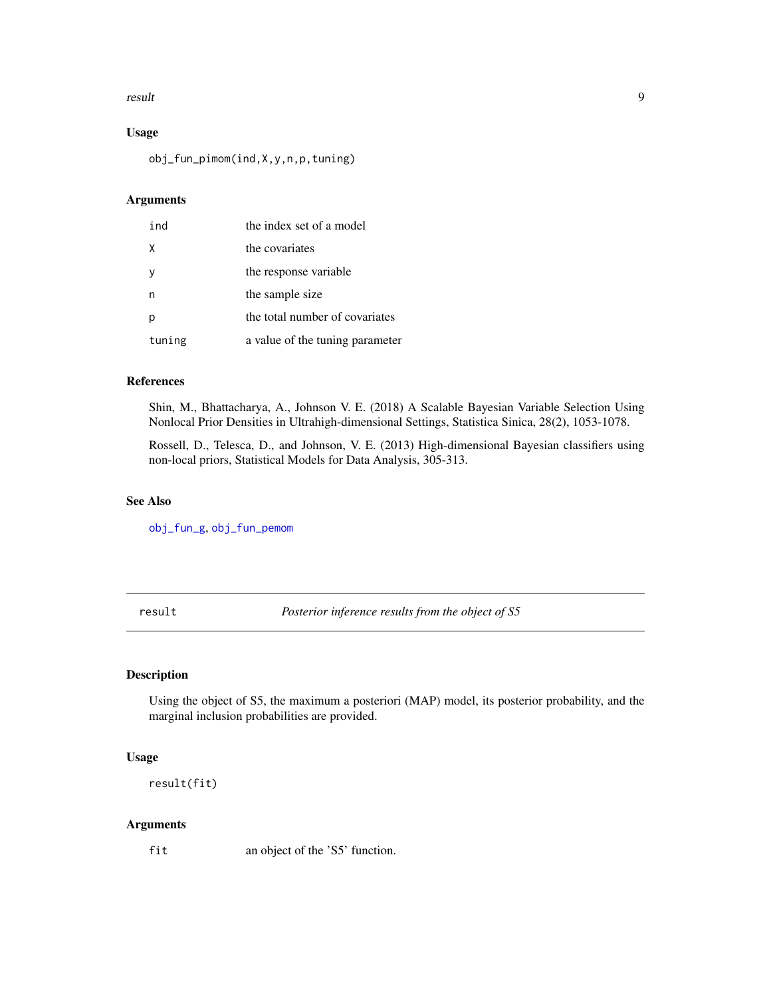#### <span id="page-8-0"></span>result and the set of the set of the set of the set of the set of the set of the set of the set of the set of the set of the set of the set of the set of the set of the set of the set of the set of the set of the set of th

# Usage

obj\_fun\_pimom(ind,X,y,n,p,tuning)

# Arguments

| ind    | the index set of a model        |
|--------|---------------------------------|
| X      | the covariates                  |
|        | the response variable           |
|        | the sample size                 |
|        | the total number of covariates  |
| tuning | a value of the tuning parameter |

# References

Shin, M., Bhattacharya, A., Johnson V. E. (2018) A Scalable Bayesian Variable Selection Using Nonlocal Prior Densities in Ultrahigh-dimensional Settings, Statistica Sinica, 28(2), 1053-1078.

Rossell, D., Telesca, D., and Johnson, V. E. (2013) High-dimensional Bayesian classifiers using non-local priors, Statistical Models for Data Analysis, 305-313.

# See Also

[obj\\_fun\\_g](#page-6-1), [obj\\_fun\\_pemom](#page-7-2)

<span id="page-8-1"></span>result *Posterior inference results from the object of S5*

# Description

Using the object of S5, the maximum a posteriori (MAP) model, its posterior probability, and the marginal inclusion probabilities are provided.

# Usage

result(fit)

# Arguments

fit an object of the 'S5' function.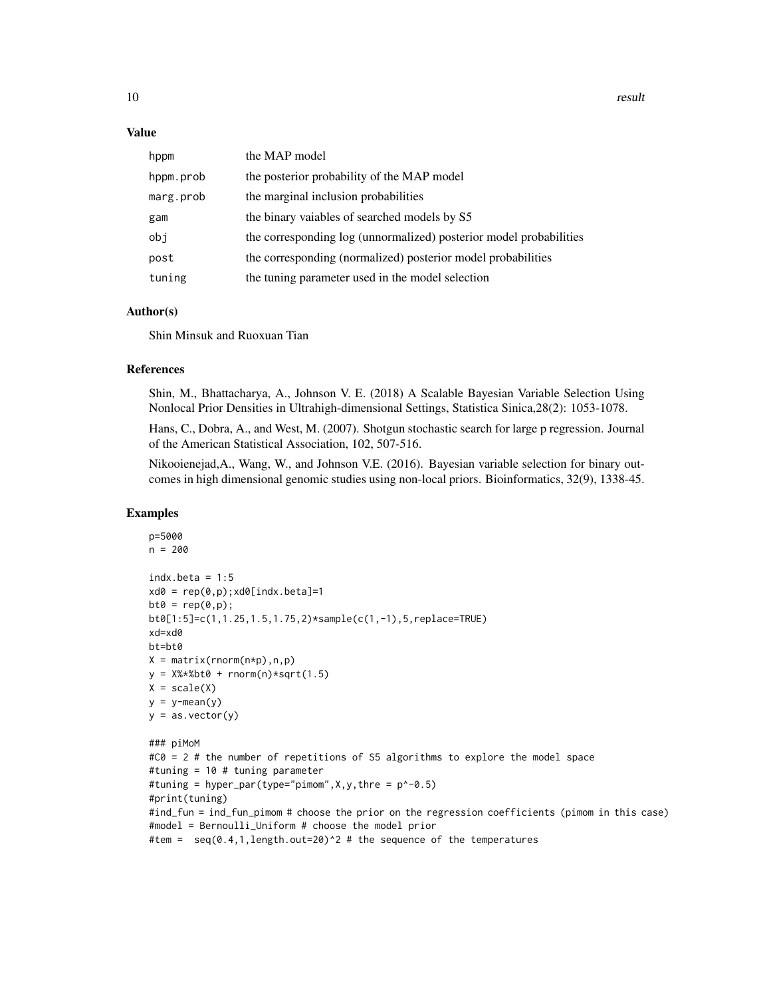#### Value

| hppm      | the MAP model                                                      |
|-----------|--------------------------------------------------------------------|
| hppm.prob | the posterior probability of the MAP model                         |
| marg.prob | the marginal inclusion probabilities                               |
| gam       | the binary vaiables of searched models by S5                       |
| obj       | the corresponding log (unnormalized) posterior model probabilities |
| post      | the corresponding (normalized) posterior model probabilities       |
| tuning    | the tuning parameter used in the model selection                   |

#### Author(s)

Shin Minsuk and Ruoxuan Tian

#### References

Shin, M., Bhattacharya, A., Johnson V. E. (2018) A Scalable Bayesian Variable Selection Using Nonlocal Prior Densities in Ultrahigh-dimensional Settings, Statistica Sinica,28(2): 1053-1078.

Hans, C., Dobra, A., and West, M. (2007). Shotgun stochastic search for large p regression. Journal of the American Statistical Association, 102, 507-516.

Nikooienejad,A., Wang, W., and Johnson V.E. (2016). Bayesian variable selection for binary outcomes in high dimensional genomic studies using non-local priors. Bioinformatics, 32(9), 1338-45.

```
p=5000
n = 200indx.beta = 1:5xd0 = rep(0,p); xd0[indx.beta]=1bt0 = rep(0,p);bt0[1:5]=c(1,1.25,1.5,1.75,2)*sample(c(1,-1),5,replace=TRUE)
xd=xd0
bt=bt0
X = matrix(rnorm(n*p), n, p)y = X% * %bt0 + rnorm(n) * sqrt(1.5)X = scale(X)y = y - \text{mean}(y)y = as.vector(y)### piMoM
#C0 = 2 # the number of repetitions of S5 algorithms to explore the model space
#tuning = 10 # tuning parameter
#tuning = hyper_par(type="pimom",X,y,thre = p^-0.5)
#print(tuning)
#ind_fun = ind_fun_pimom # choose the prior on the regression coefficients (pimom in this case)
#model = Bernoulli_Uniform # choose the model prior
#tem = seq(0.4, 1, length.out=20)^2 # the sequence of the temperatures
```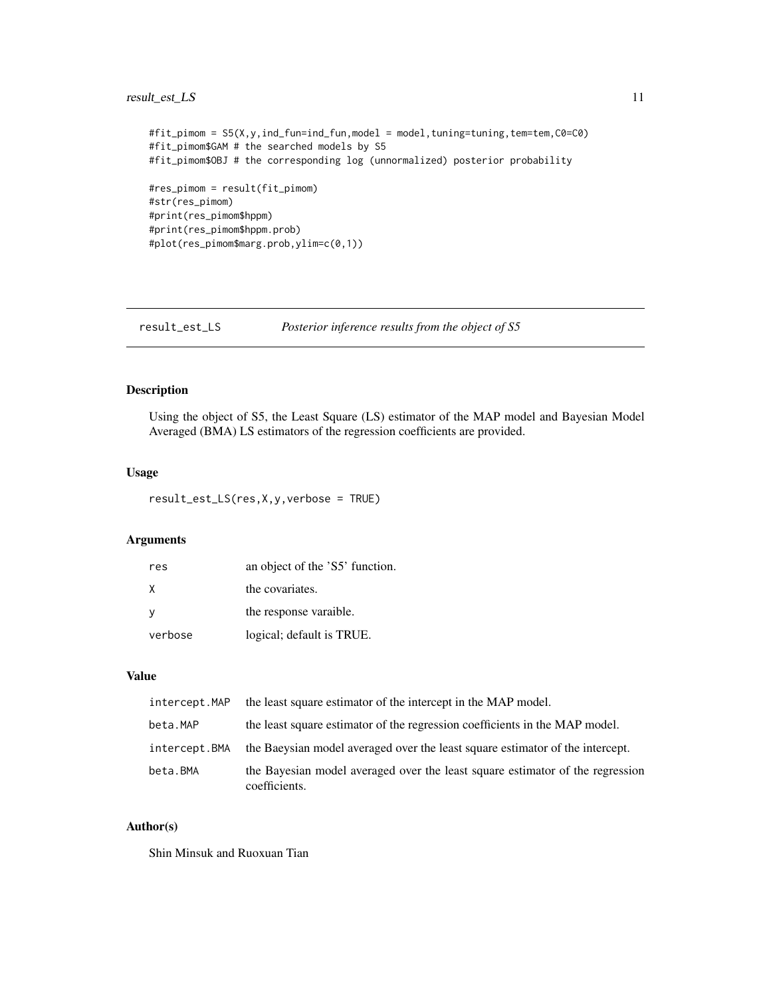# <span id="page-10-0"></span>result\_est\_LS 11

```
#fit_pimom = S5(X,y,ind_fun=ind_fun,model = model,tuning=tuning,tem=tem,C0=C0)
#fit_pimom$GAM # the searched models by S5
#fit_pimom$OBJ # the corresponding log (unnormalized) posterior probability
#res_pimom = result(fit_pimom)
#str(res_pimom)
#print(res_pimom$hppm)
#print(res_pimom$hppm.prob)
#plot(res_pimom$marg.prob,ylim=c(0,1))
```
result\_est\_LS *Posterior inference results from the object of S5*

# Description

Using the object of S5, the Least Square (LS) estimator of the MAP model and Bayesian Model Averaged (BMA) LS estimators of the regression coefficients are provided.

# Usage

```
result_est_LS(res,X,y,verbose = TRUE)
```
# Arguments

| res     | an object of the 'S5' function. |
|---------|---------------------------------|
| X       | the covariates.                 |
| -V      | the response varaible.          |
| verbose | logical; default is TRUE.       |

# Value

| intercept.MAP | the least square estimator of the intercept in the MAP model.                                  |
|---------------|------------------------------------------------------------------------------------------------|
| beta.MAP      | the least square estimator of the regression coefficients in the MAP model.                    |
| intercept.BMA | the Baeysian model averaged over the least square estimator of the intercept.                  |
| beta.BMA      | the Bayesian model averaged over the least square estimator of the regression<br>coefficients. |

# Author(s)

Shin Minsuk and Ruoxuan Tian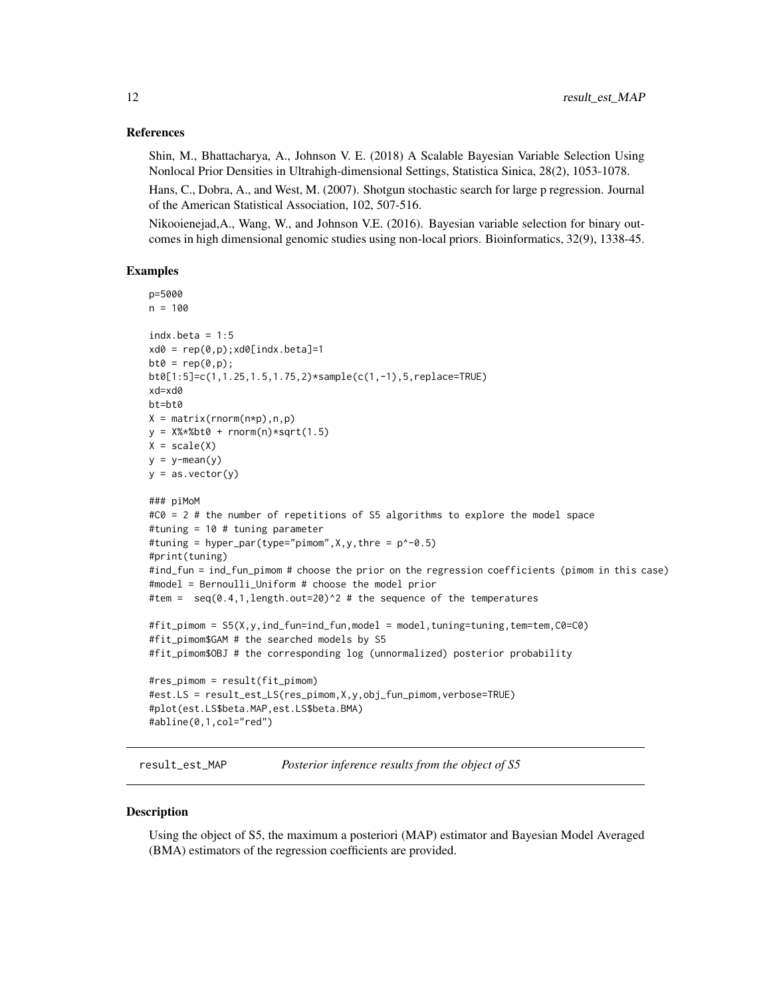#### <span id="page-11-0"></span>References

Shin, M., Bhattacharya, A., Johnson V. E. (2018) A Scalable Bayesian Variable Selection Using Nonlocal Prior Densities in Ultrahigh-dimensional Settings, Statistica Sinica, 28(2), 1053-1078.

Hans, C., Dobra, A., and West, M. (2007). Shotgun stochastic search for large p regression. Journal of the American Statistical Association, 102, 507-516.

Nikooienejad,A., Wang, W., and Johnson V.E. (2016). Bayesian variable selection for binary outcomes in high dimensional genomic studies using non-local priors. Bioinformatics, 32(9), 1338-45.

# Examples

```
p=5000
n = 100
indx.beta = 1:5xd0 = rep(0,p); xd0[indx,beta]=1bt0 = rep(0,p);bt0[1:5]=c(1,1.25,1.5,1.75,2)*sample(c(1,-1),5,replace=TRUE)
xd=xd0
bt=bt0
X = matrix(rnorm(n*p), n, p)y = X% * %bt0 + rnorm(n) * sqrt(1.5)X = scale(X)y = y - \text{mean}(y)y = as.vector(y)### piMoM
\text{\#CO} = 2 # the number of repetitions of S5 algorithms to explore the model space
#tuning = 10 # tuning parameter
#tuning = hyper_par(type="pimom", X, Y, thre = p^2-0.5)
#print(tuning)
#ind_fun = ind_fun_pimom # choose the prior on the regression coefficients (pimom in this case)
#model = Bernoulli_Uniform # choose the model prior
#tem = seq(0.4, 1, length.out=20)^2 # the sequence of the temperatures
#fit_pimom = S5(X,y,ind_fun=ind_fun,model = model,tuning=tuning,tem=tem,C0=C0)
#fit_pimom$GAM # the searched models by S5
#fit_pimom$OBJ # the corresponding log (unnormalized) posterior probability
#res_pimom = result(fit_pimom)
#est.LS = result_est_LS(res_pimom,X,y,obj_fun_pimom,verbose=TRUE)
#plot(est.LS$beta.MAP,est.LS$beta.BMA)
#abline(0,1,col="red")
```
result\_est\_MAP *Posterior inference results from the object of S5*

# Description

Using the object of S5, the maximum a posteriori (MAP) estimator and Bayesian Model Averaged (BMA) estimators of the regression coefficients are provided.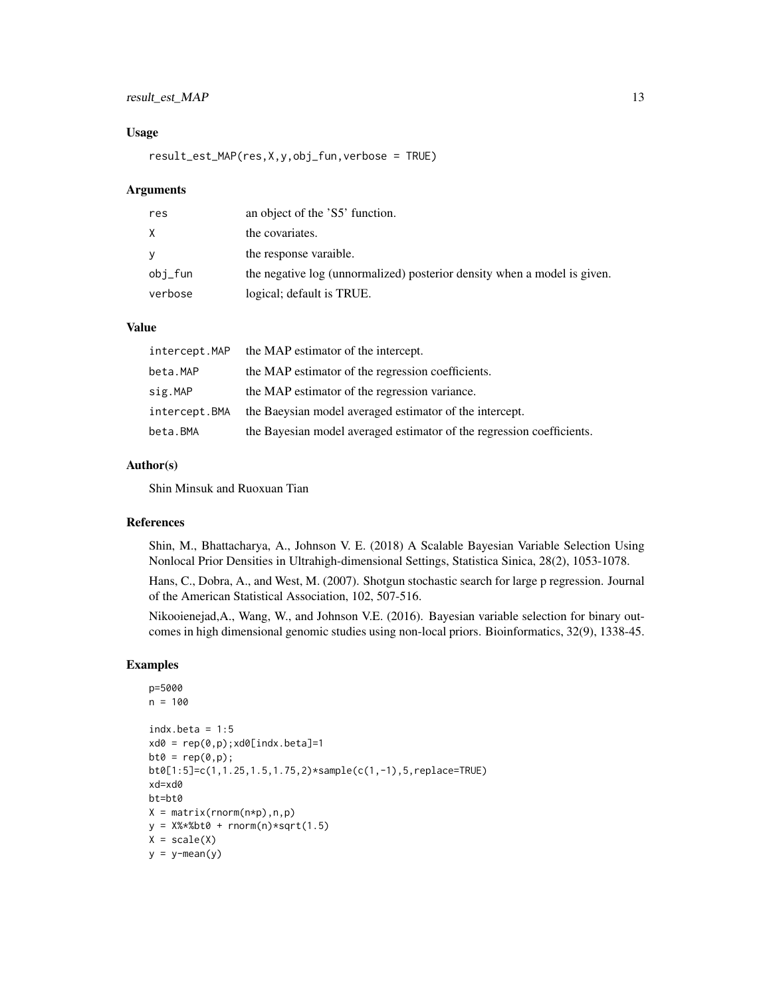# result\_est\_MAP 13

#### Usage

result\_est\_MAP(res,X,y,obj\_fun,verbose = TRUE)

#### Arguments

| res      | an object of the 'S5' function.                                          |
|----------|--------------------------------------------------------------------------|
| X        | the covariates.                                                          |
| <b>V</b> | the response varaible.                                                   |
| obj_fun  | the negative log (unnormalized) posterior density when a model is given. |
| verbose  | logical; default is TRUE.                                                |

# Value

|               | intercept. MAP the MAP estimator of the intercept.                    |
|---------------|-----------------------------------------------------------------------|
| beta.MAP      | the MAP estimator of the regression coefficients.                     |
| sig.MAP       | the MAP estimator of the regression variance.                         |
| intercept.BMA | the Baeysian model averaged estimator of the intercept.               |
| beta.BMA      | the Bayesian model averaged estimator of the regression coefficients. |

#### Author(s)

Shin Minsuk and Ruoxuan Tian

#### References

Shin, M., Bhattacharya, A., Johnson V. E. (2018) A Scalable Bayesian Variable Selection Using Nonlocal Prior Densities in Ultrahigh-dimensional Settings, Statistica Sinica, 28(2), 1053-1078.

Hans, C., Dobra, A., and West, M. (2007). Shotgun stochastic search for large p regression. Journal of the American Statistical Association, 102, 507-516.

Nikooienejad,A., Wang, W., and Johnson V.E. (2016). Bayesian variable selection for binary outcomes in high dimensional genomic studies using non-local priors. Bioinformatics, 32(9), 1338-45.

```
p=5000
n = 100
indx.beta = 1:5xd0 = rep(0,p); xd0[indx.beta]=1bt0 = rep(0,p);bt0[1:5]=c(1,1.25,1.5,1.75,2)*sample(c(1,-1),5,replace=TRUE)
xd=xd0
bt=bt0
X = matrix(rnorm(n*p), n, p)y = X% * %bt0 + rnorm(n) * sqrt(1.5)X = scale(X)y = y - \text{mean}(y)
```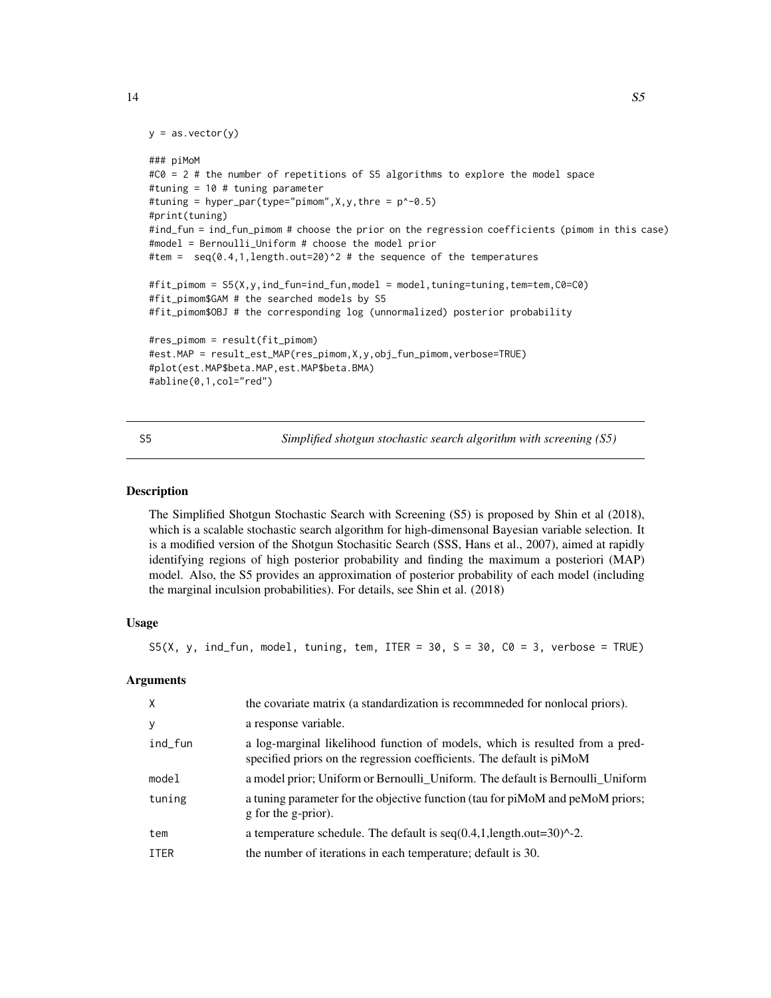```
y = as.vector(y)
```

```
### piMoM
#C0 = 2 # the number of repetitions of S5 algorithms to explore the model space
#tuning = 10 # tuning parameter
#tuning = hyper_par(type="pimom",X,y,thre = p^-0.5)
#print(tuning)
#ind_fun = ind_fun_pimom # choose the prior on the regression coefficients (pimom in this case)
#model = Bernoulli_Uniform # choose the model prior
#tem = seq(0.4,1,length.out=20)^2 # the sequence of the temperatures
#fit_pimom = S5(X,y,ind_fun=ind_fun,model = model,tuning=tuning,tem=tem,C0=C0)
#fit_pimom$GAM # the searched models by S5
#fit_pimom$OBJ # the corresponding log (unnormalized) posterior probability
#res_pimom = result(fit_pimom)
#est.MAP = result_est_MAP(res_pimom,X,y,obj_fun_pimom,verbose=TRUE)
#plot(est.MAP$beta.MAP,est.MAP$beta.BMA)
#abline(0,1,col="red")
```
<span id="page-13-1"></span>S5 *Simplified shotgun stochastic search algorithm with screening (S5)*

#### Description

The Simplified Shotgun Stochastic Search with Screening (S5) is proposed by Shin et al (2018), which is a scalable stochastic search algorithm for high-dimensonal Bayesian variable selection. It is a modified version of the Shotgun Stochasitic Search (SSS, Hans et al., 2007), aimed at rapidly identifying regions of high posterior probability and finding the maximum a posteriori (MAP) model. Also, the S5 provides an approximation of posterior probability of each model (including the marginal inculsion probabilities). For details, see Shin et al. (2018)

# Usage

S5(X, y, ind\_fun, model, tuning, tem, ITER =  $30$ , S =  $30$ , C0 =  $3$ , verbose = TRUE)

#### Arguments

|             | the covariate matrix (a standardization is recommeded for nonlocal priors).                                                                           |
|-------------|-------------------------------------------------------------------------------------------------------------------------------------------------------|
| у           | a response variable.                                                                                                                                  |
| ind_fun     | a log-marginal likelihood function of models, which is resulted from a pred-<br>specified priors on the regression coefficients. The default is piMoM |
| model       | a model prior; Uniform or Bernoulli_Uniform. The default is Bernoulli_Uniform                                                                         |
| tuning      | a tuning parameter for the objective function (tau for piMoM and peMoM priors;<br>g for the g-prior).                                                 |
| tem         | a temperature schedule. The default is $seq(0.4, 1, length.out = 30)^{2}$ .                                                                           |
| <b>ITER</b> | the number of iterations in each temperature; default is 30.                                                                                          |
|             |                                                                                                                                                       |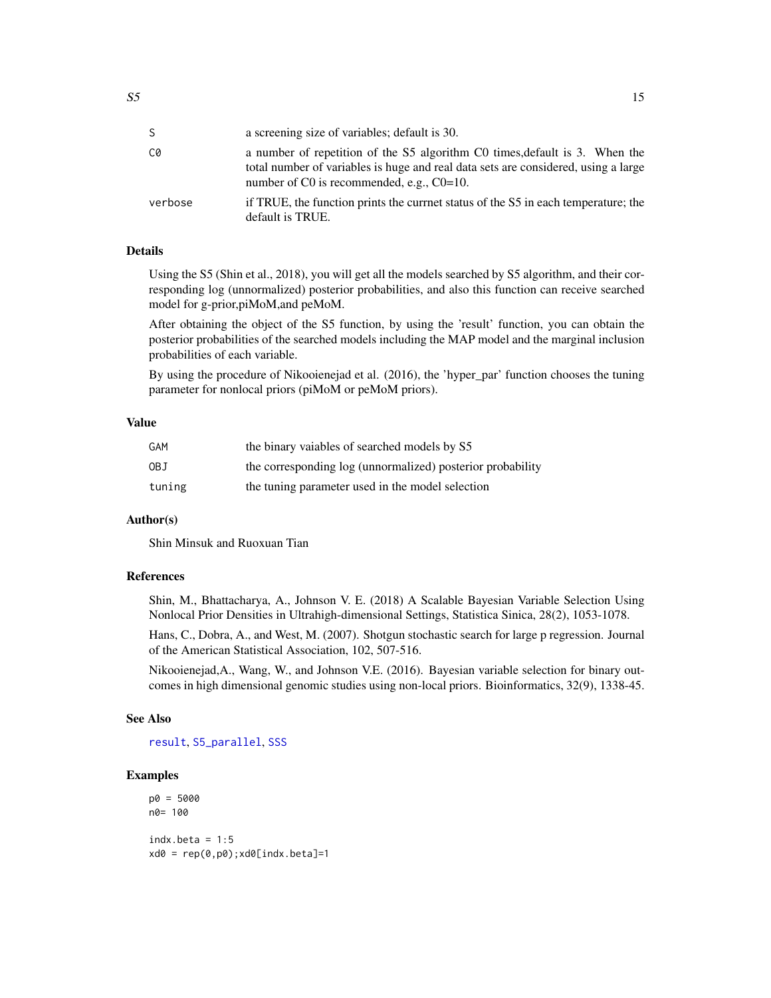<span id="page-14-0"></span>

| S.      | a screening size of variables; default is 30.                                                                                                                                                                       |
|---------|---------------------------------------------------------------------------------------------------------------------------------------------------------------------------------------------------------------------|
| C0      | a number of repetition of the S5 algorithm C0 times, default is 3. When the<br>total number of variables is huge and real data sets are considered, using a large<br>number of $C0$ is recommended, e.g., $C0=10$ . |
| verbose | if TRUE, the function prints the currnet status of the S5 in each temperature; the<br>default is TRUE.                                                                                                              |

# Details

Using the S5 (Shin et al., 2018), you will get all the models searched by S5 algorithm, and their corresponding log (unnormalized) posterior probabilities, and also this function can receive searched model for g-prior,piMoM,and peMoM.

After obtaining the object of the S5 function, by using the 'result' function, you can obtain the posterior probabilities of the searched models including the MAP model and the marginal inclusion probabilities of each variable.

By using the procedure of Nikooienejad et al. (2016), the 'hyper\_par' function chooses the tuning parameter for nonlocal priors (piMoM or peMoM priors).

# Value

| GAM    | the binary vaiables of searched models by S5               |
|--------|------------------------------------------------------------|
| 0BJ    | the corresponding log (unnormalized) posterior probability |
| tuning | the tuning parameter used in the model selection           |

# Author(s)

Shin Minsuk and Ruoxuan Tian

#### References

Shin, M., Bhattacharya, A., Johnson V. E. (2018) A Scalable Bayesian Variable Selection Using Nonlocal Prior Densities in Ultrahigh-dimensional Settings, Statistica Sinica, 28(2), 1053-1078.

Hans, C., Dobra, A., and West, M. (2007). Shotgun stochastic search for large p regression. Journal of the American Statistical Association, 102, 507-516.

Nikooienejad,A., Wang, W., and Johnson V.E. (2016). Bayesian variable selection for binary outcomes in high dimensional genomic studies using non-local priors. Bioinformatics, 32(9), 1338-45.

#### See Also

[result](#page-8-1), [S5\\_parallel](#page-15-1), [SSS](#page-18-1)

```
p0 = 5000
n0= 100
indx.beta = 1:5xd0 = rep(0,p0); xd0[indx.beta]=1
```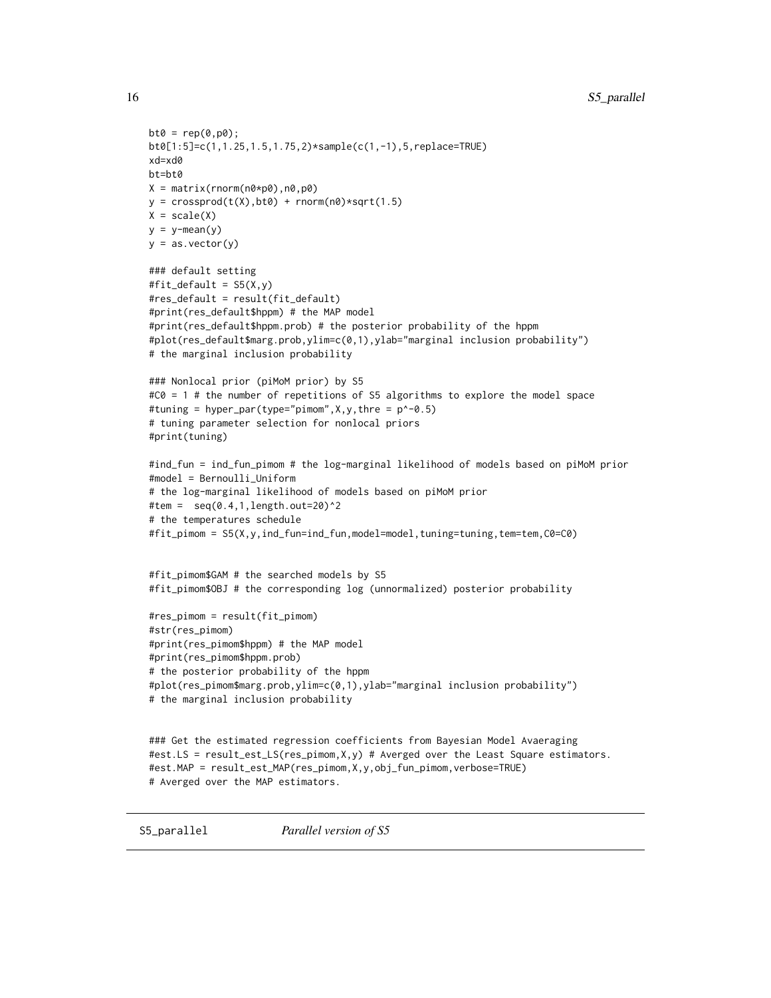```
bt0 = rep(0,p0);bt0[1:5]=c(1,1.25,1.5,1.75,2)*sample(c(1,-1),5,replace=TRUE)
xd=xd0
bt=bt0
X = matrix(rnorm(n0*p0),n0,p0)y = crossprod(t(X), bt0) + rnorm(n0)*sqrt(1.5)X = scale(X)y = y-mean(y)y = as.vector(y)### default setting
#fit_default = S5(X, y)#res_default = result(fit_default)
#print(res_default$hppm) # the MAP model
#print(res_default$hppm.prob) # the posterior probability of the hppm
#plot(res_default$marg.prob,ylim=c(0,1),ylab="marginal inclusion probability")
# the marginal inclusion probability
### Nonlocal prior (piMoM prior) by S5
#C0 = 1 # the number of repetitions of S5 algorithms to explore the model space
#tuning = hyper_par(type="pimom", X, Y, thre = p^2-0.5)
# tuning parameter selection for nonlocal priors
#print(tuning)
#ind_fun = ind_fun_pimom # the log-marginal likelihood of models based on piMoM prior
#model = Bernoulli_Uniform
# the log-marginal likelihood of models based on piMoM prior
#tem = seq(0.4, 1, length.out=20)^2# the temperatures schedule
#fit_pimom = S5(X,y,ind_fun=ind_fun,model=model,tuning=tuning,tem=tem,C0=C0)
#fit_pimom$GAM # the searched models by S5
#fit_pimom$OBJ # the corresponding log (unnormalized) posterior probability
#res_pimom = result(fit_pimom)
#str(res_pimom)
#print(res_pimom$hppm) # the MAP model
#print(res_pimom$hppm.prob)
# the posterior probability of the hppm
#plot(res_pimom$marg.prob,ylim=c(0,1),ylab="marginal inclusion probability")
# the marginal inclusion probability
### Get the estimated regression coefficients from Bayesian Model Avaeraging
#est.LS = result_est_LS(res_pimom,X,y) # Averged over the Least Square estimators.
#est.MAP = result_est_MAP(res_pimom,X,y,obj_fun_pimom,verbose=TRUE)
# Averged over the MAP estimators.
```
<span id="page-15-1"></span>

<span id="page-15-0"></span>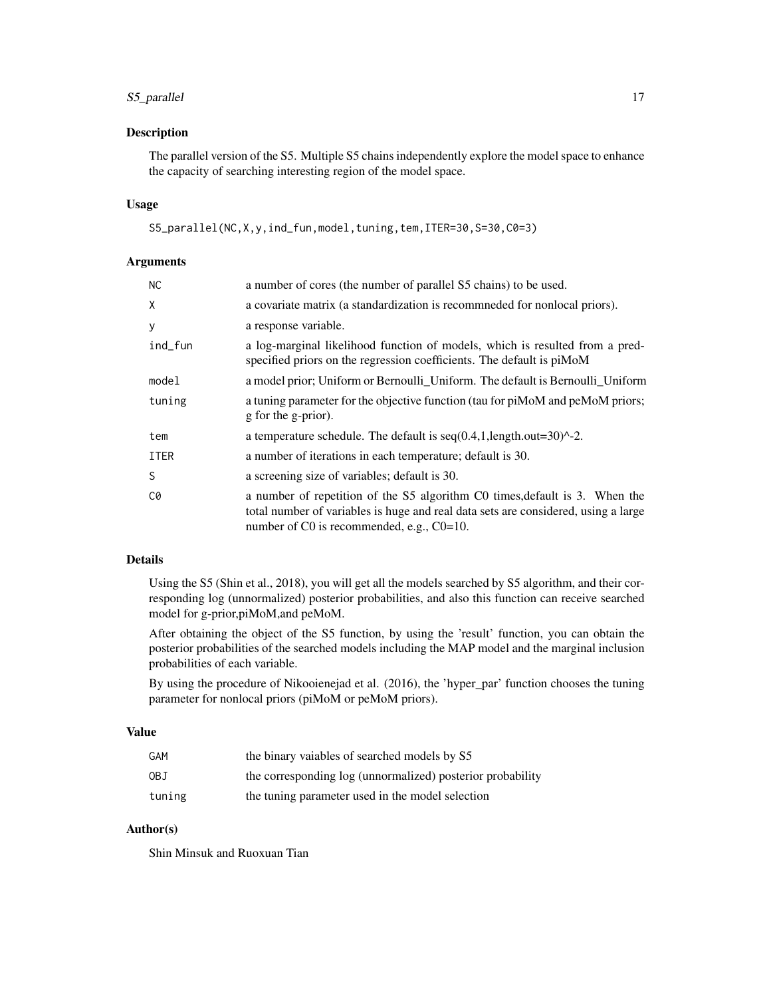# S5\_parallel 17

## Description

The parallel version of the S5. Multiple S5 chains independently explore the model space to enhance the capacity of searching interesting region of the model space.

# Usage

```
S5_parallel(NC,X,y,ind_fun,model,tuning,tem,ITER=30,S=30,C0=3)
```
# Arguments

| <b>NC</b>   | a number of cores (the number of parallel S5 chains) to be used.                                                                                                                                                  |
|-------------|-------------------------------------------------------------------------------------------------------------------------------------------------------------------------------------------------------------------|
| X           | a covariate matrix (a standardization is recommeded for nonlocal priors).                                                                                                                                         |
| У           | a response variable.                                                                                                                                                                                              |
| ind_fun     | a log-marginal likelihood function of models, which is resulted from a pred-<br>specified priors on the regression coefficients. The default is piMoM                                                             |
| model       | a model prior; Uniform or Bernoulli_Uniform. The default is Bernoulli_Uniform                                                                                                                                     |
| tuning      | a tuning parameter for the objective function (tau for piMoM and peMoM priors;<br>g for the g-prior).                                                                                                             |
| tem         | a temperature schedule. The default is $seq(0.4, 1, length.out = 30)^{2}$ .                                                                                                                                       |
| <b>ITER</b> | a number of iterations in each temperature; default is 30.                                                                                                                                                        |
| S           | a screening size of variables; default is 30.                                                                                                                                                                     |
| C0          | a number of repetition of the S5 algorithm C0 times, default is 3. When the<br>total number of variables is huge and real data sets are considered, using a large<br>number of C0 is recommended, e.g., $C0=10$ . |

# Details

Using the S5 (Shin et al., 2018), you will get all the models searched by S5 algorithm, and their corresponding log (unnormalized) posterior probabilities, and also this function can receive searched model for g-prior,piMoM,and peMoM.

After obtaining the object of the S5 function, by using the 'result' function, you can obtain the posterior probabilities of the searched models including the MAP model and the marginal inclusion probabilities of each variable.

By using the procedure of Nikooienejad et al. (2016), the 'hyper\_par' function chooses the tuning parameter for nonlocal priors (piMoM or peMoM priors).

# Value

| GAM    | the binary vaiables of searched models by S5               |
|--------|------------------------------------------------------------|
| OBJ    | the corresponding log (unnormalized) posterior probability |
| tuning | the tuning parameter used in the model selection           |

# Author(s)

Shin Minsuk and Ruoxuan Tian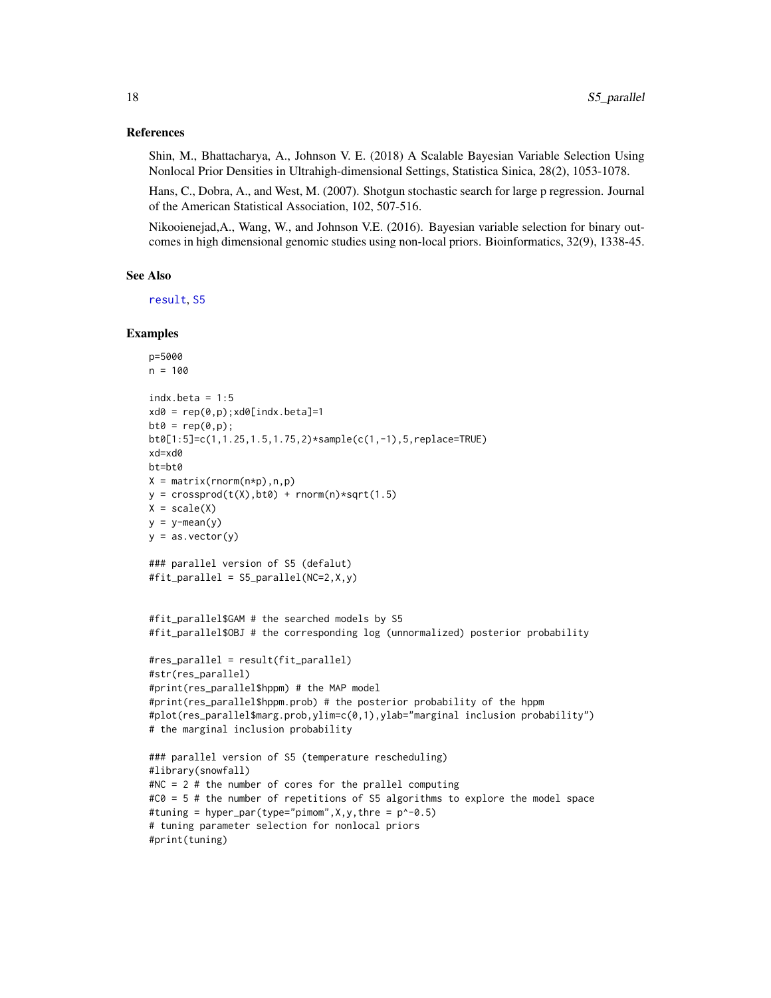#### <span id="page-17-0"></span>References

Shin, M., Bhattacharya, A., Johnson V. E. (2018) A Scalable Bayesian Variable Selection Using Nonlocal Prior Densities in Ultrahigh-dimensional Settings, Statistica Sinica, 28(2), 1053-1078.

Hans, C., Dobra, A., and West, M. (2007). Shotgun stochastic search for large p regression. Journal of the American Statistical Association, 102, 507-516.

Nikooienejad,A., Wang, W., and Johnson V.E. (2016). Bayesian variable selection for binary outcomes in high dimensional genomic studies using non-local priors. Bioinformatics, 32(9), 1338-45.

#### See Also

[result](#page-8-1), [S5](#page-13-1)

```
p=5000
n = 100indx.beta = 1:5xd0 = rep(0,p); xd0[indx.beta]=1bt0 = rep(0,p);bt0[1:5]=c(1,1.25,1.5,1.75,2)*sample(c(1,-1),5,replace=TRUE)
xd=xd0
bt=bt0
X = matrix(rnorm(n*p), n, p)y = crossprod(t(X), bt0) + rnorm(n)*sqrt(1.5)X = scale(X)y = y - \text{mean}(y)y = as.vector(y)### parallel version of S5 (defalut)
#fit_parallel = S5_parallel(NC=2,X,y)
#fit_parallel$GAM # the searched models by S5
#fit_parallel$OBJ # the corresponding log (unnormalized) posterior probability
#res_parallel = result(fit_parallel)
#str(res_parallel)
#print(res_parallel$hppm) # the MAP model
#print(res_parallel$hppm.prob) # the posterior probability of the hppm
#plot(res_parallel$marg.prob,ylim=c(0,1),ylab="marginal inclusion probability")
# the marginal inclusion probability
### parallel version of S5 (temperature rescheduling)
#library(snowfall)
#NC = 2 # the number of cores for the prallel computing
#C0 = 5 # the number of repetitions of S5 algorithms to explore the model space
#tuning = hyper_par(type="pimom",X,y,thre = p^-0.5)
# tuning parameter selection for nonlocal priors
#print(tuning)
```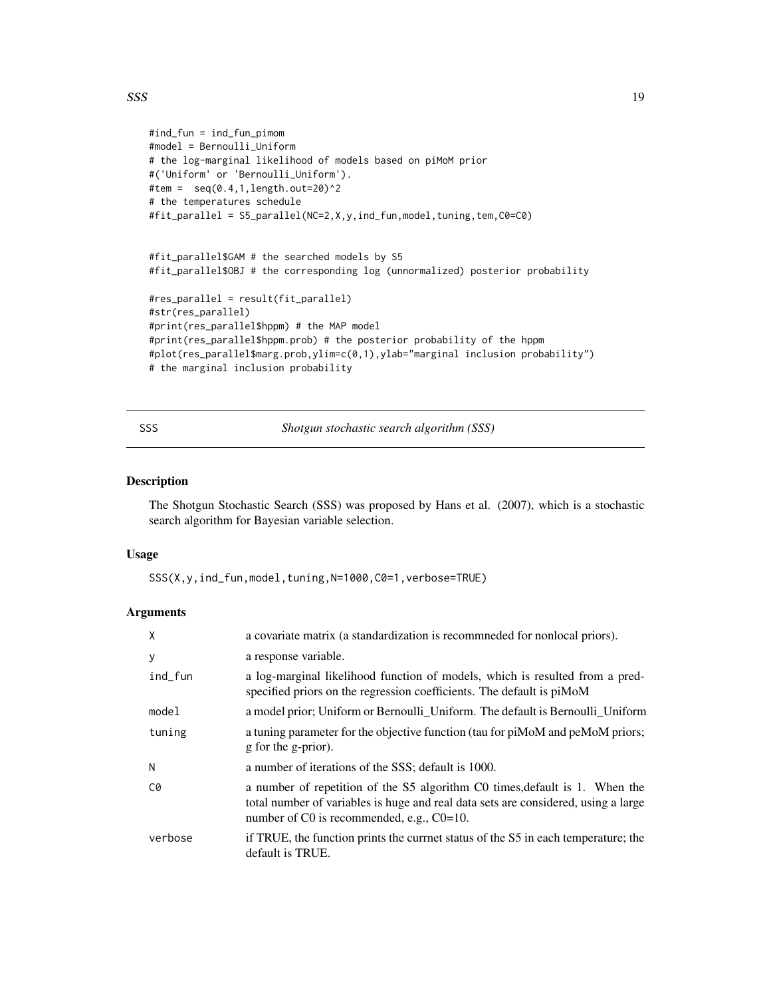```
#ind_fun = ind_fun_pimom
#model = Bernoulli_Uniform
# the log-marginal likelihood of models based on piMoM prior
#('Uniform' or 'Bernoulli_Uniform').
#tem = seq(0.4, 1, length.out=20)^2# the temperatures schedule
#fit_parallel = S5_parallel(NC=2,X,y,ind_fun,model,tuning,tem,C0=C0)
#fit_parallel$GAM # the searched models by S5
#fit_parallel$OBJ # the corresponding log (unnormalized) posterior probability
#res_parallel = result(fit_parallel)
#str(res_parallel)
```

```
#print(res_parallel$hppm) # the MAP model
#print(res_parallel$hppm.prob) # the posterior probability of the hppm
#plot(res_parallel$marg.prob,ylim=c(0,1),ylab="marginal inclusion probability")
# the marginal inclusion probability
```
<span id="page-18-1"></span>SSS *Shotgun stochastic search algorithm (SSS)*

#### Description

The Shotgun Stochastic Search (SSS) was proposed by Hans et al. (2007), which is a stochastic search algorithm for Bayesian variable selection.

#### Usage

SSS(X,y,ind\_fun,model,tuning,N=1000,C0=1,verbose=TRUE)

#### Arguments

| X       | a covariate matrix (a standardization is recommneded for nonlocal priors).                                                                                                                                        |
|---------|-------------------------------------------------------------------------------------------------------------------------------------------------------------------------------------------------------------------|
| У       | a response variable.                                                                                                                                                                                              |
| ind_fun | a log-marginal likelihood function of models, which is resulted from a pred-<br>specified priors on the regression coefficients. The default is piMoM                                                             |
| model   | a model prior; Uniform or Bernoulli_Uniform. The default is Bernoulli_Uniform                                                                                                                                     |
| tuning  | a tuning parameter for the objective function (tau for piMoM and peMoM priors;<br>g for the g-prior).                                                                                                             |
| N       | a number of iterations of the SSS; default is 1000.                                                                                                                                                               |
| C0      | a number of repetition of the S5 algorithm C0 times, default is 1. When the<br>total number of variables is huge and real data sets are considered, using a large<br>number of C0 is recommended, e.g., $C0=10$ . |
| verbose | if TRUE, the function prints the currnet status of the S5 in each temperature; the<br>default is TRUE.                                                                                                            |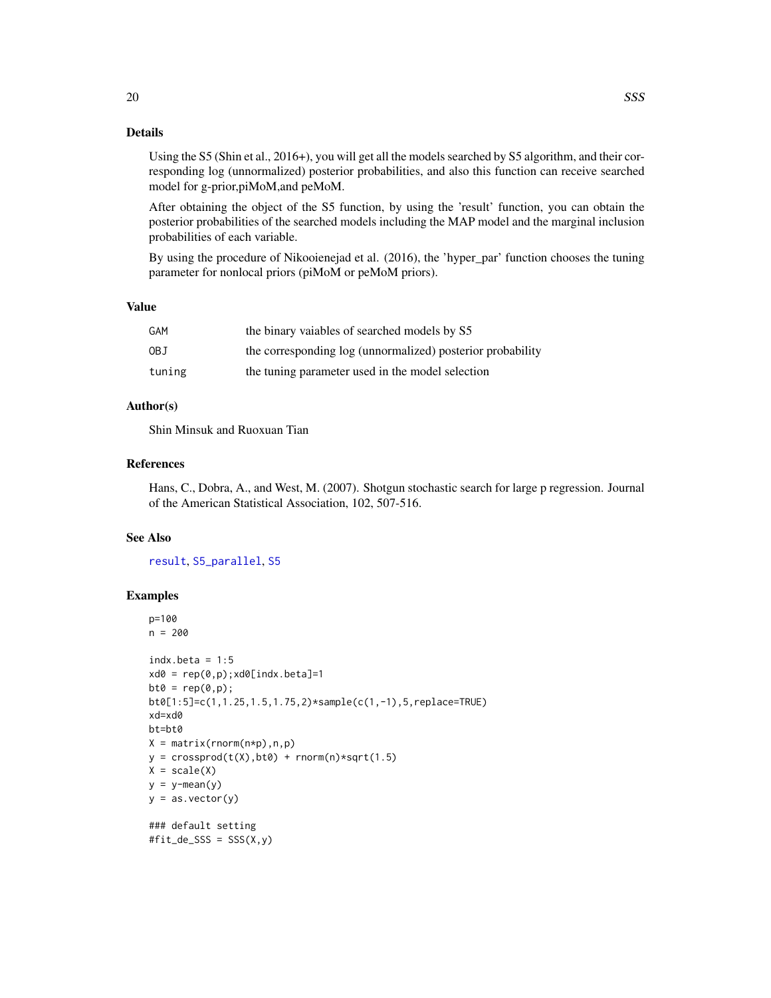<span id="page-19-0"></span>Using the S5 (Shin et al., 2016+), you will get all the models searched by S5 algorithm, and their corresponding log (unnormalized) posterior probabilities, and also this function can receive searched model for g-prior,piMoM,and peMoM.

After obtaining the object of the S5 function, by using the 'result' function, you can obtain the posterior probabilities of the searched models including the MAP model and the marginal inclusion probabilities of each variable.

By using the procedure of Nikooienejad et al. (2016), the 'hyper\_par' function chooses the tuning parameter for nonlocal priors (piMoM or peMoM priors).

# Value

| GAM    | the binary vaiables of searched models by S5               |
|--------|------------------------------------------------------------|
| 0BJ    | the corresponding log (unnormalized) posterior probability |
| tuning | the tuning parameter used in the model selection           |

## Author(s)

Shin Minsuk and Ruoxuan Tian

# References

Hans, C., Dobra, A., and West, M. (2007). Shotgun stochastic search for large p regression. Journal of the American Statistical Association, 102, 507-516.

## See Also

[result](#page-8-1), [S5\\_parallel](#page-15-1), [S5](#page-13-1)

```
p=100
n = 200indx.beta = 1:5xd0 = rep(0,p); xd0[indx.beta]=1bt0 = rep(0,p);bt0[1:5]=c(1,1.25,1.5,1.75,2)*sample(c(1,-1),5,replace=TRUE)
xd=xd0
bt=bt0
X = matrix(rnorm(n*p),n,p)y = crossprod(t(X), bt0) + rnorm(n)*sqrt(1.5)X = scale(X)y = y - \text{mean}(y)y = as.vector(y)### default setting
#fit-de\_SSS = SSS(X, y)
```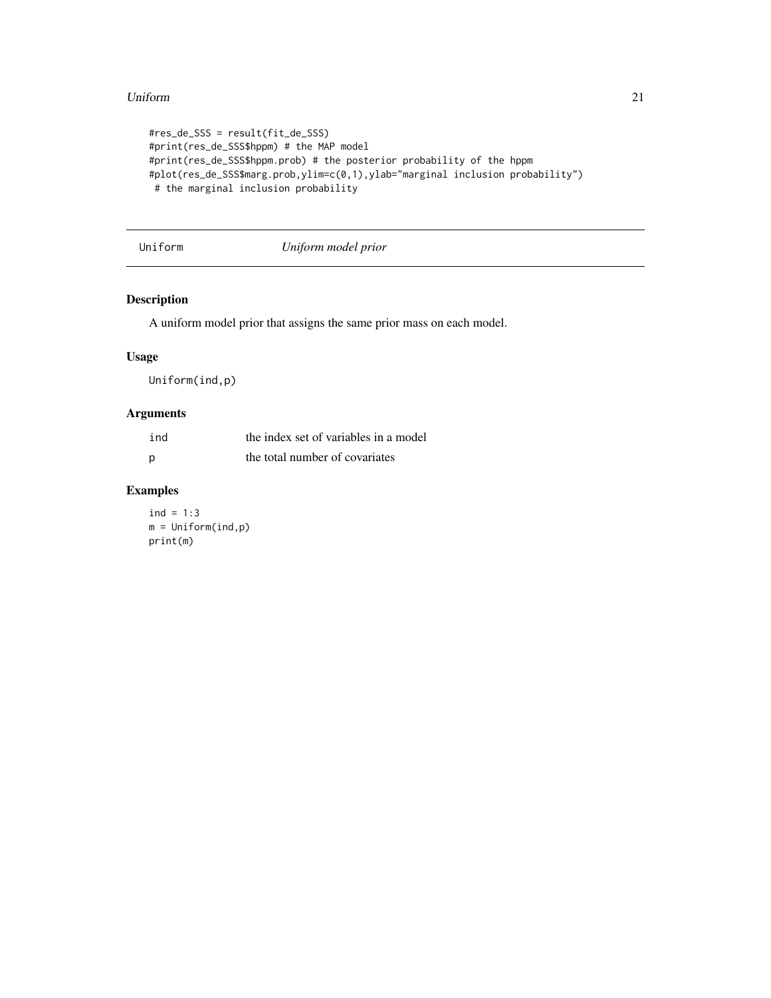#### <span id="page-20-0"></span>Uniform 21

```
#res_de_SSS = result(fit_de_SSS)
#print(res_de_SSS$hppm) # the MAP model
#print(res_de_SSS$hppm.prob) # the posterior probability of the hppm
#plot(res_de_SSS$marg.prob,ylim=c(0,1),ylab="marginal inclusion probability")
# the marginal inclusion probability
```
# <span id="page-20-1"></span>Uniform *Uniform model prior*

# Description

A uniform model prior that assigns the same prior mass on each model.

# Usage

Uniform(ind,p)

# Arguments

| ind | the index set of variables in a model |
|-----|---------------------------------------|
|     | the total number of covariates        |

# Examples

 $ind = 1:3$ m = Uniform(ind,p) print(m)